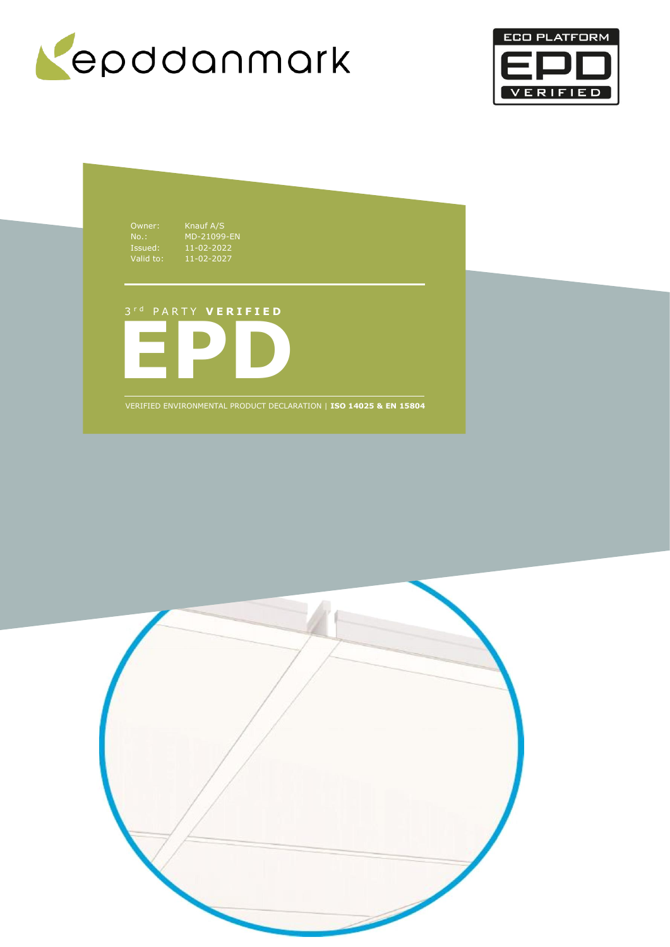



Owner: Knauf A/S

No.: MD-21099-EN Issued: 11-02-2022 Valid to: 11-02-2027

# 3 r d P A R T Y **V E R I F I E D**



VERIFIED ENVIRONMENTAL PRODUCT DECLARATION | **ISO 14025 & EN 15804**

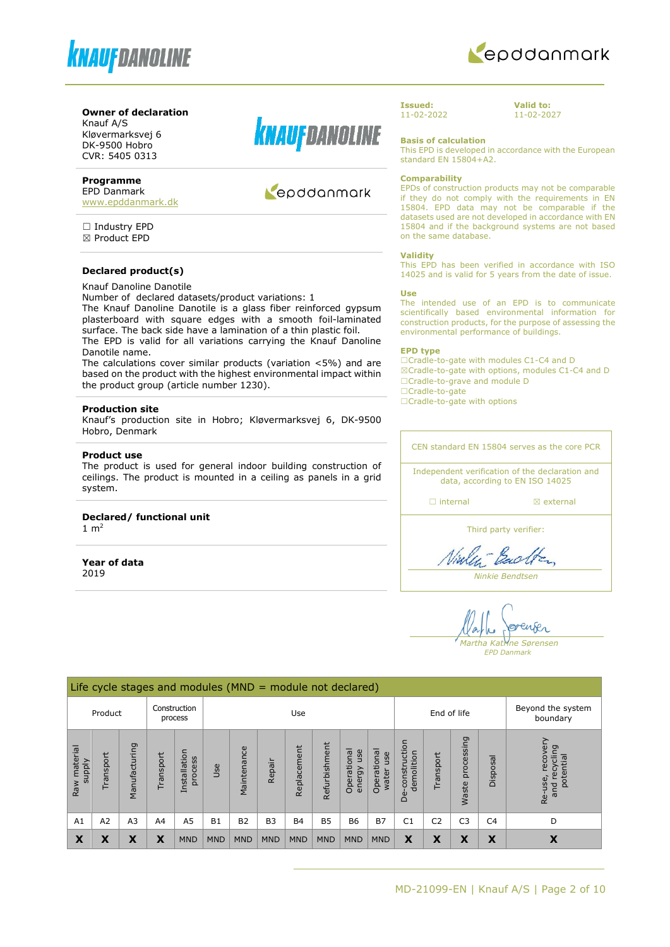



#### **Owner of declaration**

Knauf A/S Kløvermarksvej 6 DK-9500 Hobro CVR: 5405 0313

# **Programme**

EPD Danmark [www.epddanmark.dk](http://www.epddanmark.dk/)

□ Industry EPD ☒ Product EPD

### **Declared product(s)**

Knauf Danoline Danotile

Number of declared datasets/product variations: 1

The Knauf Danoline Danotile is a glass fiber reinforced gypsum plasterboard with square edges with a smooth foil-laminated surface. The back side have a lamination of a thin plastic foil. The EPD is valid for all variations carrying the Knauf Danoline

Danotile name. The calculations cover similar products (variation <5%) and are

based on the product with the highest environmental impact within the product group (article number 1230).

#### **Production site**

Knauf's production site in Hobro; Kløvermarksvej 6, DK-9500 Hobro, Denmark

#### **Product use**

The product is used for general indoor building construction of ceilings. The product is mounted in a ceiling as panels in a grid system.

# **Declared/ functional unit**

1  $m<sup>2</sup>$ 

**Year of data** 2019



# Repodanmark

**Issued:** 11-02-2022 **Valid to:** 11-02-2027

**Basis of calculation**

This EPD is developed in accordance with the European standard EN 15804+A2.

#### **Comparability**

EPDs of construction products may not be comparable if they do not comply with the requirements in EN 15804. EPD data may not be comparable if the datasets used are not developed in accordance with EN 15804 and if the background systems are not based on the same database.

#### **Validity**

This EPD has been verified in accordance with ISO 14025 and is valid for 5 years from the date of issue.

#### **Use**

The intended use of an EPD is to communicate scientifically based environmental information for construction products, for the purpose of assessing the environmental performance of buildings.

#### **EPD type**

☐Cradle-to-gate with modules C1-C4 and D ☒Cradle-to-gate with options, modules C1-C4 and D ☐Cradle-to-grave and module D ☐Cradle-to-gate

□Cradle-to-gate with options

CEN standard EN 15804 serves as the core PCR Independent verification of the declaration and

data, according to EN ISO 14025

□ internal **a** external

Third party verifier:

Viale - Back

*Ninkie Bendtsen*

enser *Martha Katrine Sørensen*

*EPD Danmark*

|                               | Life cycle stages and modules ( $MND =$ module not declared) |                |                |                         |                    |             |            |                               |               |                              |                             |                                  |                |                     |                |                                                      |
|-------------------------------|--------------------------------------------------------------|----------------|----------------|-------------------------|--------------------|-------------|------------|-------------------------------|---------------|------------------------------|-----------------------------|----------------------------------|----------------|---------------------|----------------|------------------------------------------------------|
|                               | Product                                                      |                |                | Construction<br>process | End of life<br>Use |             |            | Beyond the system<br>boundary |               |                              |                             |                                  |                |                     |                |                                                      |
| Raw material<br><b>Alddns</b> | Transport                                                    | Manufacturing  | Transport      | Installation<br>process | Use                | Maintenance | Repair     | Replacement                   | Refurbishment | Operational<br>use<br>energy | Operational<br>use<br>water | construction<br>demolition<br>த் | Transport      | processing<br>Waste | Disposal       | recovery<br>recycling<br>potential<br>Re-use,<br>and |
| A1                            | A <sub>2</sub>                                               | A <sub>3</sub> | A <sub>4</sub> | A <sub>5</sub>          | <b>B1</b>          | <b>B2</b>   | <b>B3</b>  | <b>B4</b>                     | <b>B5</b>     | <b>B6</b>                    | <b>B7</b>                   | C <sub>1</sub>                   | C <sub>2</sub> | C <sub>3</sub>      | C <sub>4</sub> | D                                                    |
| X                             | X                                                            | X              | Χ              | <b>MND</b>              | <b>MND</b>         | <b>MND</b>  | <b>MND</b> | <b>MND</b>                    | <b>MND</b>    | <b>MND</b>                   | <b>MND</b>                  | X                                | X              | X                   | X              | X                                                    |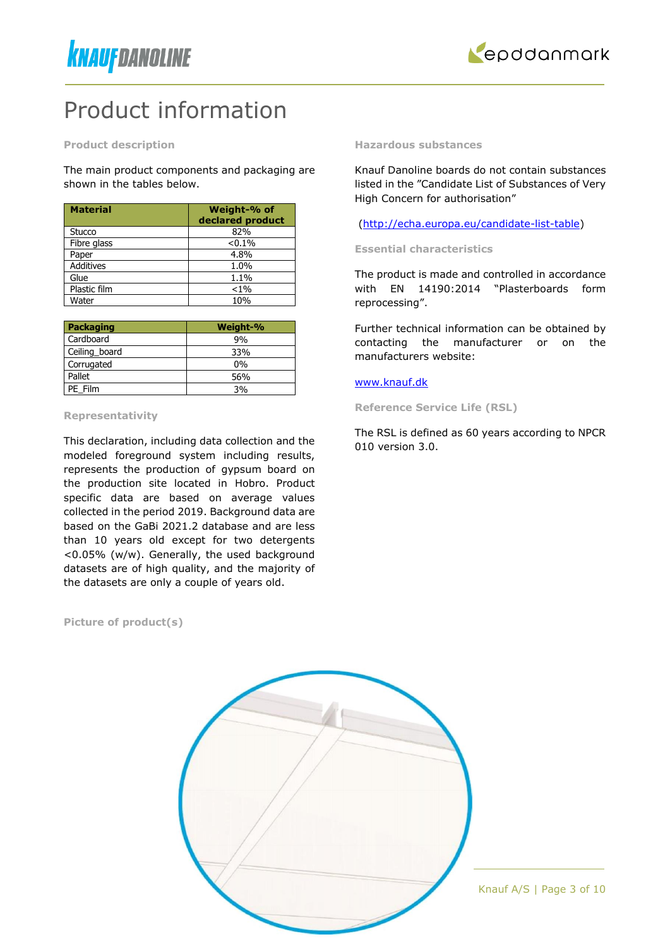



# Product information

**Product description**

The main product components and packaging are shown in the tables below.

| <b>Material</b>  | Weight-% of<br>declared product |
|------------------|---------------------------------|
| Stucco           | 82%                             |
| Fibre glass      | < 0.1%                          |
| Paper            | 4.8%                            |
| <b>Additives</b> | 1.0%                            |
| Glue             | 1.1%                            |
| Plastic film     | $< 1\%$                         |
| Water            | 10%                             |

| Packaging     | Weight-% |
|---------------|----------|
| Cardboard     | 9%       |
| Ceiling_board | 33%      |
| Corrugated    | $0\%$    |
| Pallet        | 56%      |
| PE Film       | 3%       |

#### **Representativity**

This declaration, including data collection and the modeled foreground system including results, represents the production of gypsum board on the production site located in Hobro. Product specific data are based on average values collected in the period 2019. Background data are based on the GaBi 2021.2 database and are less than 10 years old except for two detergents <0.05% (w/w). Generally, the used background datasets are of high quality, and the majority of the datasets are only a couple of years old.

#### **Picture of product(s)**

**Hazardous substances**

Knauf Danoline boards do not contain substances listed in the "Candidate List of Substances of Very High Concern for authorisation"

[\(http://echa.europa.eu/candidate-list-table\)](http://echa.europa.eu/candidate-list-table)

**Essential characteristics** 

The product is made and controlled in accordance with EN 14190:2014 "Plasterboards form reprocessing".

Further technical information can be obtained by contacting the manufacturer or on the manufacturers website:

#### [www.knauf.dk](http://www.knauf.dk/)

**Reference Service Life (RSL)**

The RSL is defined as 60 years according to NPCR 010 version 3.0.

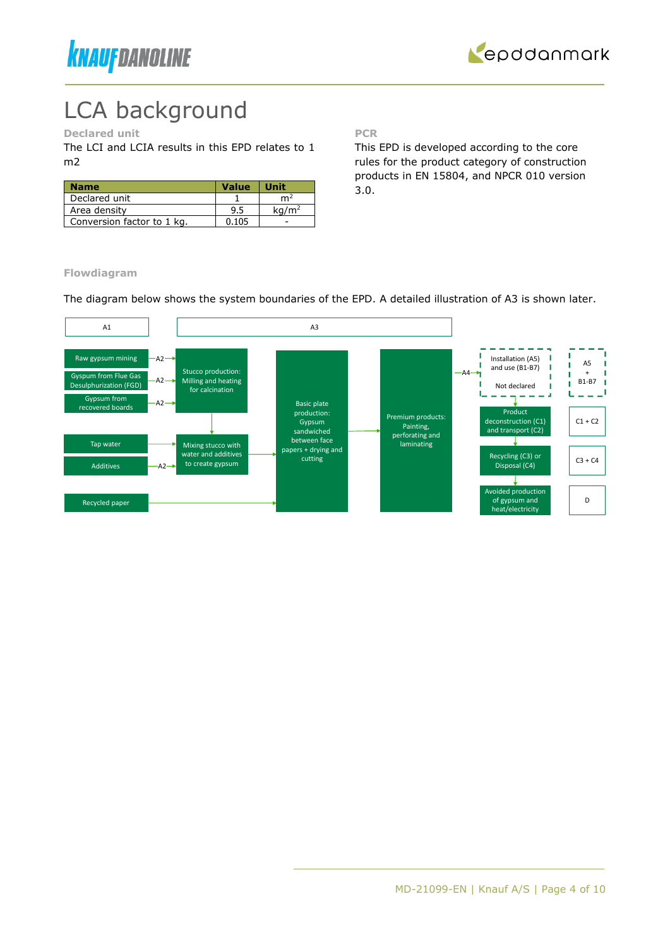



# LCA background

# **Declared unit**

The LCI and LCIA results in this EPD relates to 1 m2

| <b>Name</b>                | <b>Value</b> | <b>Unit</b>       |
|----------------------------|--------------|-------------------|
| Declared unit              |              | m4                |
| Area density               | 9.5          | ka/m <sup>2</sup> |
| Conversion factor to 1 kg. | 0.105        |                   |

**PCR**

This EPD is developed according to the core rules for the product category of construction products in EN 15804, and NPCR 010 version 3.0.

**Flowdiagram**

The diagram below shows the system boundaries of the EPD. A detailed illustration of A3 is shown later.

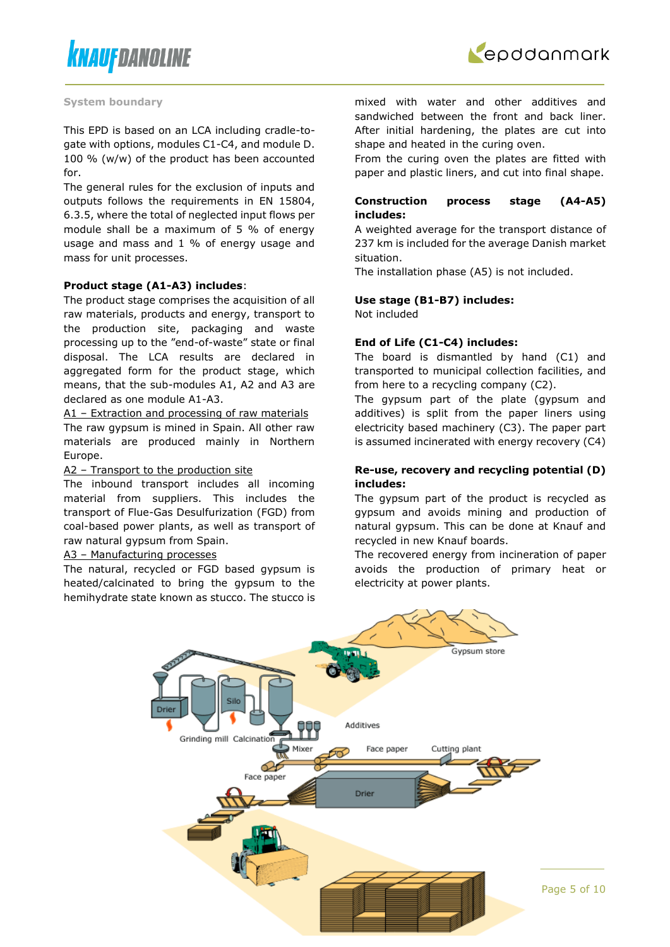



#### **System boundary**

This EPD is based on an LCA including cradle-togate with options, modules C1-C4, and module D. 100 % (w/w) of the product has been accounted for.

The general rules for the exclusion of inputs and outputs follows the requirements in EN 15804, 6.3.5, where the total of neglected input flows per module shall be a maximum of 5 % of energy usage and mass and 1 % of energy usage and mass for unit processes.

#### **Product stage (A1-A3) includes**:

The product stage comprises the acquisition of all raw materials, products and energy, transport to the production site, packaging and waste processing up to the "end-of-waste" state or final disposal. The LCA results are declared in aggregated form for the product stage, which means, that the sub-modules A1, A2 and A3 are declared as one module A1-A3.

A1 – Extraction and processing of raw materials The raw gypsum is mined in Spain. All other raw materials are produced mainly in Northern Europe.

#### A2 – Transport to the production site

The inbound transport includes all incoming material from suppliers. This includes the transport of Flue-Gas Desulfurization (FGD) from coal-based power plants, as well as transport of raw natural gypsum from Spain.

#### A3 – Manufacturing processes

The natural, recycled or FGD based gypsum is heated/calcinated to bring the gypsum to the hemihydrate state known as stucco. The stucco is mixed with water and other additives and sandwiched between the front and back liner. After initial hardening, the plates are cut into shape and heated in the curing oven.

From the curing oven the plates are fitted with paper and plastic liners, and cut into final shape.

### **Construction process stage (A4-A5) includes:**

A weighted average for the transport distance of 237 km is included for the average Danish market situation.

The installation phase (A5) is not included.

### **Use stage (B1-B7) includes:**

Not included

### **End of Life (C1-C4) includes:**

The board is dismantled by hand (C1) and transported to municipal collection facilities, and from here to a recycling company (C2).

The gypsum part of the plate (gypsum and additives) is split from the paper liners using electricity based machinery (C3). The paper part is assumed incinerated with energy recovery (C4)

### **Re-use, recovery and recycling potential (D) includes:**

The gypsum part of the product is recycled as gypsum and avoids mining and production of natural gypsum. This can be done at Knauf and recycled in new Knauf boards.

The recovered energy from incineration of paper avoids the production of primary heat or electricity at power plants.

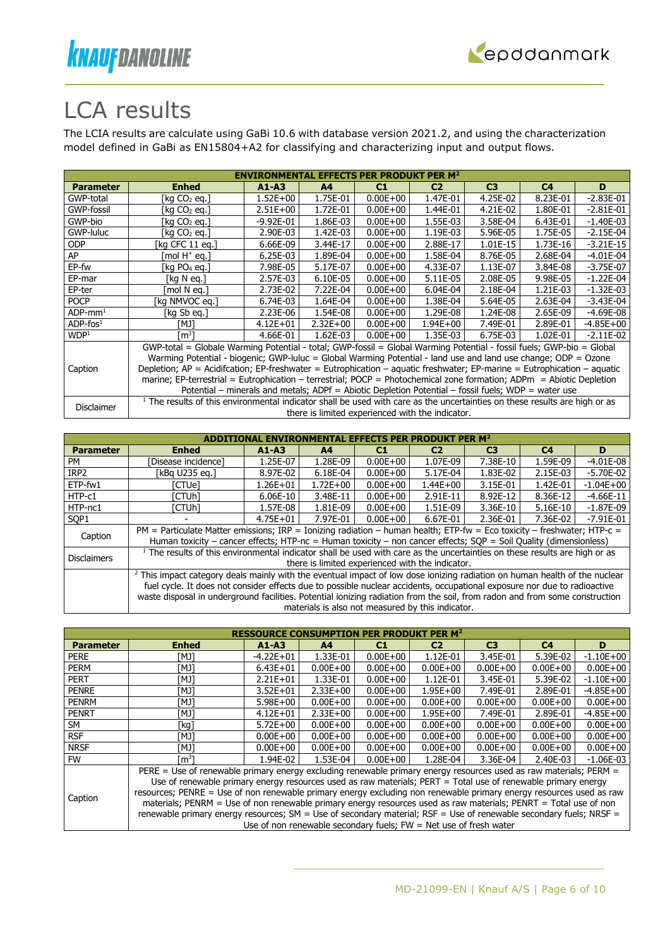



# LCA results

The LCIA results are calculate using GaBi 10.6 with database version 2021.2, and using the characterization model defined in GaBi as EN15804+A2 for classifying and characterizing input and output flows.

|                        | <b>ENVIRONMENTAL EFFECTS PER PRODUKT PER M<sup>2</sup></b>                                                                            |               |                |              |                                                  |                |                |               |  |  |
|------------------------|---------------------------------------------------------------------------------------------------------------------------------------|---------------|----------------|--------------|--------------------------------------------------|----------------|----------------|---------------|--|--|
| <b>Parameter</b>       | <b>Enhed</b>                                                                                                                          | $A1 - A3$     | A <sup>4</sup> | C1           | C <sub>2</sub>                                   | C <sub>3</sub> | C <sub>4</sub> | D             |  |  |
| GWP-total              | [kg CO2 eg.]                                                                                                                          | $1.52E + 00$  | 1.75E-01       | $0.00E + 00$ | 1.47E-01                                         | 4.25E-02       | 8.23E-01       | $-2.83E - 01$ |  |  |
| GWP-fossil             | [kg CO2 eg.]                                                                                                                          | $2.51E+00$    | 1.72E-01       | $0.00E + 00$ | 1.44E-01                                         | 4.21E-02       | 1.80E-01       | $-2.81E-01$   |  |  |
| GWP-bio                | [kg CO2 eg.]                                                                                                                          | $-9.92E - 01$ | 1.86E-03       | $0.00E + 00$ | 1.55E-03                                         | 3.58E-04       | 6.43E-01       | $-1.40E-03$   |  |  |
| GWP-luluc              | [kg CO2 eg.]                                                                                                                          | 2.90E-03      | 1.42E-03       | $0.00E + 00$ | 1.19E-03                                         | 5.96E-05       | 1.75E-05       | $-2.15E-04$   |  |  |
| <b>ODP</b>             | [kg CFC 11 eg.]                                                                                                                       | 6.66E-09      | 3.44E-17       | $0.00E + 00$ | 2.88E-17                                         | 1.01E-15       | 1.73E-16       | $-3.21E-15$   |  |  |
| AP                     | mol H <sup>+</sup> eq.]                                                                                                               | 6.25E-03      | 1.89E-04       | $0.00E + 00$ | 1.58E-04                                         | 8.76E-05       | 2.68E-04       | $-4.01E-04$   |  |  |
| EP-fw                  | [kg $PO4$ eg.]                                                                                                                        | 7.98E-05      | 5.17E-07       | $0.00E + 00$ | 4.33E-07                                         | 1.13E-07       | 3.84E-08       | $-3.75E-07$   |  |  |
| EP-mar                 | [kg N eg.]                                                                                                                            | 2.57E-03      | 6.10E-05       | $0.00E + 00$ | $5.11E-05$                                       | 2.08E-05       | 9.98E-05       | $-1.22E-04$   |  |  |
| EP-ter                 | mol N ea.1                                                                                                                            | 2.73E-02      | 7.22E-04       | $0.00E + 00$ | 6.04E-04                                         | 2.18E-04       | 1.21E-03       | $-1.32E-03$   |  |  |
| <b>POCP</b>            | [kg NMVOC eg.]                                                                                                                        | 6.74E-03      | 1.64E-04       | $0.00E + 00$ | 1.38E-04                                         | 5.64E-05       | 2.63E-04       | $-3.43E - 04$ |  |  |
| $ADP$ -mm <sup>1</sup> | [kg Sb eg.]                                                                                                                           | 2.23E-06      | 1.54E-08       | $0.00E + 00$ | 1.29E-08                                         | 1.24E-08       | 2.65E-09       | $-4.69E-08$   |  |  |
| $ADP$ -fos $1$         | [MJ]                                                                                                                                  | $4.12E + 01$  | $2.32E+00$     | $0.00E + 00$ | 1.94E+00                                         | 7.49E-01       | 2.89E-01       | $-4.85E + 00$ |  |  |
| WDP <sup>1</sup>       | [m <sup>3</sup> ]                                                                                                                     | 4.66E-01      | $1.62E-03$     | $0.00E + 00$ | 1.35E-03                                         | 6.75E-03       | 1.02E-01       | $-2.11E-02$   |  |  |
|                        | GWP-total = Globale Warming Potential - total; GWP-fossil = Global Warming Potential - fossil fuels; GWP-bio = Global                 |               |                |              |                                                  |                |                |               |  |  |
|                        | Warming Potential - biogenic; GWP-luluc = Global Warming Potential - land use and land use change; ODP = Ozone                        |               |                |              |                                                  |                |                |               |  |  |
| Caption                | Depletion; AP = Acidifcation; EP-freshwater = Eutrophication – aquatic freshwater; EP-marine = Eutrophication – aquatic               |               |                |              |                                                  |                |                |               |  |  |
|                        | marine; EP-terrestrial = Eutrophication – terrestrial; POCP = Photochemical zone formation; ADPm = Abiotic Depletion                  |               |                |              |                                                  |                |                |               |  |  |
|                        | Potential – minerals and metals; ADPf = Abiotic Depletion Potential – fossil fuels; WDP = water use                                   |               |                |              |                                                  |                |                |               |  |  |
|                        | <sup>1</sup> The results of this environmental indicator shall be used with care as the uncertainties on these results are high or as |               |                |              |                                                  |                |                |               |  |  |
| Disclaimer             |                                                                                                                                       |               |                |              | there is limited experienced with the indicator. |                |                |               |  |  |

|                    | MENTAL EFFECTS PER PRODUKT                                                                                                                                                                                                                                                                                                                                                                       |              |                |              |                                                   |                |                |               |  |
|--------------------|--------------------------------------------------------------------------------------------------------------------------------------------------------------------------------------------------------------------------------------------------------------------------------------------------------------------------------------------------------------------------------------------------|--------------|----------------|--------------|---------------------------------------------------|----------------|----------------|---------------|--|
| <b>Parameter</b>   | <b>Enhed</b>                                                                                                                                                                                                                                                                                                                                                                                     | $A1 - A3$    | A <sub>4</sub> | C1           | C <sub>2</sub>                                    | C <sub>3</sub> | C <sub>4</sub> | D             |  |
| PM                 | Disease incidence1                                                                                                                                                                                                                                                                                                                                                                               | 1.25E-07     | 1.28E-09       | $0.00E + 00$ | 1.07E-09                                          | 7.38E-10       | 1.59E-09       | $-4.01E-08$   |  |
| IRP <sub>2</sub>   | [kBa U235 ea.]                                                                                                                                                                                                                                                                                                                                                                                   | 8.97E-02     | 6.18E-04       | $0.00E + 00$ | 5.17E-04                                          | 1.83E-02       | 2.15E-03       | $-5.70E-02$   |  |
| ETP-fw1            | [CTUe]                                                                                                                                                                                                                                                                                                                                                                                           | 1.26E+01     | 1.72E+00       | $0.00E + 00$ | $1.44E + 00$                                      | 3.15E-01       | 1.42E-01       | $-1.04E + 00$ |  |
| HTP-c1             | [CTUh]                                                                                                                                                                                                                                                                                                                                                                                           | 6.06E-10     | 3.48E-11       | $0.00E + 00$ | 2.91E-11                                          | 8.92E-12       | 8.36E-12       | $-4.66E-11$   |  |
| HTP-nc1            | [CTUh]                                                                                                                                                                                                                                                                                                                                                                                           | 1.57E-08     | 1.81E-09       | $0.00E + 00$ | 1.51E-09                                          | 3.36E-10       | 5.16E-10       | $-1.87E-09$   |  |
| SOP <sub>1</sub>   |                                                                                                                                                                                                                                                                                                                                                                                                  | $4.75E + 01$ | 7.97E-01       | $0.00E + 00$ | 6.67E-01                                          | 2.36E-01       | 7.36E-02       | $-7.91E-01$   |  |
| Caption            | PM = Particulate Matter emissions; IRP = Ionizing radiation - human health; ETP-fw = Eco toxicity - freshwater; HTP-c =<br>Human toxicity – cancer effects; HTP-nc = Human toxicity – non cancer effects; $SOP =$ Soil Quality (dimensionless)                                                                                                                                                   |              |                |              |                                                   |                |                |               |  |
| <b>Disclaimers</b> | $1$ The results of this environmental indicator shall be used with care as the uncertainties on these results are high or as                                                                                                                                                                                                                                                                     |              |                |              | there is limited experienced with the indicator.  |                |                |               |  |
|                    | <sup>2</sup> This impact category deals mainly with the eventual impact of low dose ionizing radiation on human health of the nuclear<br>fuel cycle. It does not consider effects due to possible nuclear accidents, occupational exposure nor due to radioactive<br>waste disposal in underground facilities. Potential ionizing radiation from the soil, from radon and from some construction |              |                |              | materials is also not measured by this indicator. |                |                |               |  |

| <b>Parameter</b> | <b>Enhed</b>                                                                                                        | $A1 - A3$     | A <sub>4</sub> | C1           | C <sub>2</sub> | C <sub>3</sub> | C <sub>4</sub> | D             |  |
|------------------|---------------------------------------------------------------------------------------------------------------------|---------------|----------------|--------------|----------------|----------------|----------------|---------------|--|
| <b>PERE</b>      | [MJ]                                                                                                                | $-4.22E + 01$ | 1.33E-01       | $0.00E + 00$ | 1.12E-01       | 3.45E-01       | 5.39E-02       | $-1.10E + 00$ |  |
| <b>PERM</b>      | [MJ]                                                                                                                | $6.43E + 01$  | $0.00E + 00$   | $0.00E + 00$ | $0.00E + 00$   | $0.00E + 00$   | $0.00E + 00$   | $0.00E + 00$  |  |
| <b>PERT</b>      | [MJ]                                                                                                                | $2.21E + 01$  | 1.33E-01       | $0.00E + 00$ | 1.12E-01       | 3.45E-01       | 5.39E-02       | $-1.10E + 00$ |  |
| <b>PENRE</b>     | [MJ]                                                                                                                | $3.52E + 01$  | $2.33E+00$     | $0.00E + 00$ | $1.95E + 00$   | 7.49E-01       | 2.89E-01       | $-4.85E + 00$ |  |
| <b>PENRM</b>     | [MJ]                                                                                                                | $5.98E + 00$  | $0.00E + 00$   | $0.00E + 00$ | $0.00E + 00$   | $0.00E + 00$   | $0.00E + 00$   | $0.00E + 00$  |  |
| <b>PENRT</b>     | [MJ]                                                                                                                | $4.12E + 01$  | $2.33E+00$     | $0.00E + 00$ | $1.95E + 00$   | 7.49E-01       | 2.89E-01       | $-4.85E + 00$ |  |
| SM               | [kg]                                                                                                                | $5.72E + 00$  | $0.00E + 00$   | $0.00E + 00$ | $0.00E + 00$   | $0.00E + 00$   | $0.00E + 00$   | $0.00E + 00$  |  |
| <b>RSF</b>       | TMJ1                                                                                                                | $0.00E + 00$  | $0.00E + 00$   | $0.00E + 00$ | $0.00E + 00$   | $0.00E + 00$   | $0.00E + 00$   | $0.00E + 00$  |  |
| <b>NRSF</b>      | [MJ]                                                                                                                | $0.00E + 00$  | $0.00E + 00$   | $0.00E + 00$ | $0.00E + 00$   | $0.00E + 00$   | $0.00E + 00$   | $0.00E + 00$  |  |
| <b>FW</b>        | rm31                                                                                                                | 1.94E-02      | 1.53E-04       | $0.00E + 00$ | 1.28E-04       | 3.36E-04       | 2.40E-03       | $-1.06E-03$   |  |
|                  | PERE = Use of renewable primary energy excluding renewable primary energy resources used as raw materials; PERM =   |               |                |              |                |                |                |               |  |
|                  | Use of renewable primary energy resources used as raw materials; PERT = Total use of renewable primary energy       |               |                |              |                |                |                |               |  |
|                  | resources; PENRE = Use of non renewable primary energy excluding non renewable primary energy resources used as raw |               |                |              |                |                |                |               |  |
| Caption          | materials; PENRM = Use of non renewable primary energy resources used as raw materials; PENRT = Total use of non    |               |                |              |                |                |                |               |  |
|                  | renewable primary energy resources; SM = Use of secondary material; RSF = Use of renewable secondary fuels; NRSF =  |               |                |              |                |                |                |               |  |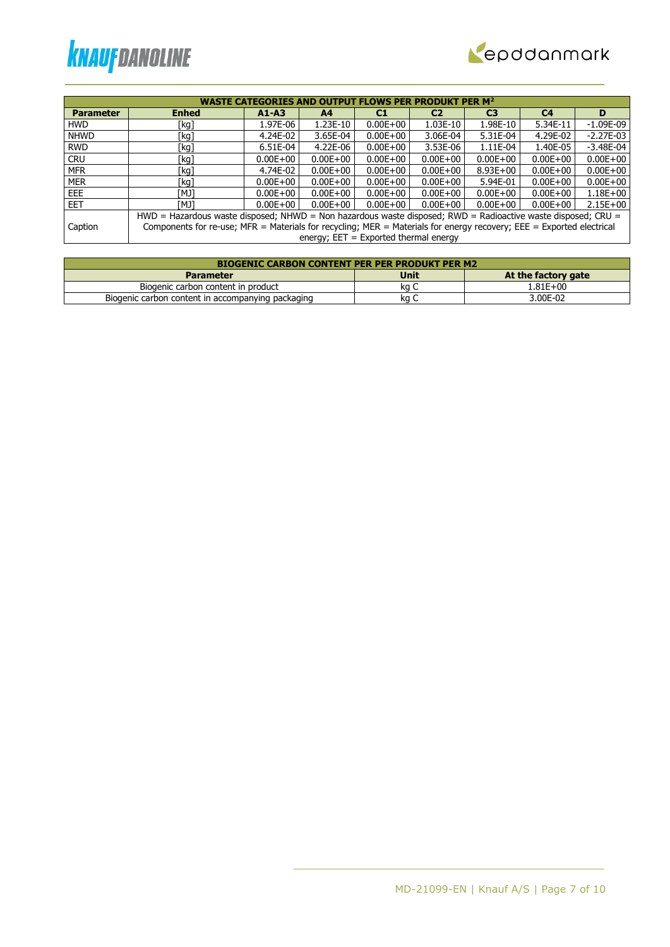



| <b>WASTE CATEGORIES AND OUTPUT FLOWS PER PRODUKT PER M<sup>2</sup></b> |                                                                                                                      |              |                                         |              |                |                |                |               |  |
|------------------------------------------------------------------------|----------------------------------------------------------------------------------------------------------------------|--------------|-----------------------------------------|--------------|----------------|----------------|----------------|---------------|--|
| <b>Parameter</b>                                                       | <b>Enhed</b>                                                                                                         | $A1 - A3$    | A <sub>4</sub>                          | C1           | C <sub>2</sub> | C <sub>3</sub> | C <sub>4</sub> | D             |  |
| <b>HWD</b>                                                             | [kg]                                                                                                                 | 1.97E-06     | 1.23E-10                                | $0.00E + 00$ | 1.03E-10       | 1.98E-10       | 5.34E-11       | $-1.09E-09$   |  |
| <b>NHWD</b>                                                            | [kg]                                                                                                                 | 4.24E-02     | 3.65E-04                                | $0.00E + 00$ | 3.06E-04       | 5.31E-04       | 4.29E-02       | $-2.27E-03$   |  |
| <b>RWD</b>                                                             | [kg]                                                                                                                 | 6.51E-04     | 4.22E-06                                | $0.00E + 00$ | 3.53E-06       | 1.11E-04       | 1.40E-05       | $-3.48E - 04$ |  |
| <b>CRU</b>                                                             | [kg]                                                                                                                 | $0.00E + 00$ | $0.00E + 00$                            | $0.00E + 00$ | $0.00E + 00$   | $0.00E + 00$   | $0.00E + 00$   | $0.00E + 00$  |  |
| <b>MFR</b>                                                             | [kg]                                                                                                                 | 4.74E-02     | $0.00E + 00$                            | $0.00E + 00$ | $0.00E + 00$   | $8.93E + 00$   | $0.00E + 00$   | $0.00E + 00$  |  |
| <b>MER</b>                                                             | [kg]                                                                                                                 | $0.00E + 00$ | $0.00E + 00$                            | $0.00E + 00$ | $0.00E + 00$   | 5.94E-01       | $0.00E + 00$   | $0.00E + 00$  |  |
| EEE.                                                                   | TMJ1                                                                                                                 | $0.00E + 00$ | $0.00E + 00$                            | $0.00E + 00$ | $0.00E + 00$   | $0.00E + 00$   | $0.00E + 00$   | $1.18E + 00$  |  |
| <b>EET</b>                                                             | ונאז                                                                                                                 | $0.00E + 00$ | $0.00E + 00$                            | $0.00E + 00$ | $0.00E + 00$   | $0.00E + 00$   | $0.00E + 00$   | $2.15E+00$    |  |
|                                                                        | HWD = Hazardous waste disposed; NHWD = Non hazardous waste disposed; RWD = Radioactive waste disposed; CRU =         |              |                                         |              |                |                |                |               |  |
| Caption                                                                | Components for re-use; MFR = Materials for recycling; MER = Materials for energy recovery; EEE = Exported electrical |              |                                         |              |                |                |                |               |  |
|                                                                        |                                                                                                                      |              | energy; $EET = Exported thermal energy$ |              |                |                |                |               |  |

| <b>BIOGENIC CARBON CONTENT PER PER PRODUKT PER M2</b> |             |                     |  |  |  |  |  |  |
|-------------------------------------------------------|-------------|---------------------|--|--|--|--|--|--|
| <b>Parameter</b>                                      | <b>Unit</b> | At the factory gate |  |  |  |  |  |  |
| Biogenic carbon content in product                    | ka C        | 1.81E+00            |  |  |  |  |  |  |
| Biogenic carbon content in accompanying packaging     | ka          | 3.00E-02            |  |  |  |  |  |  |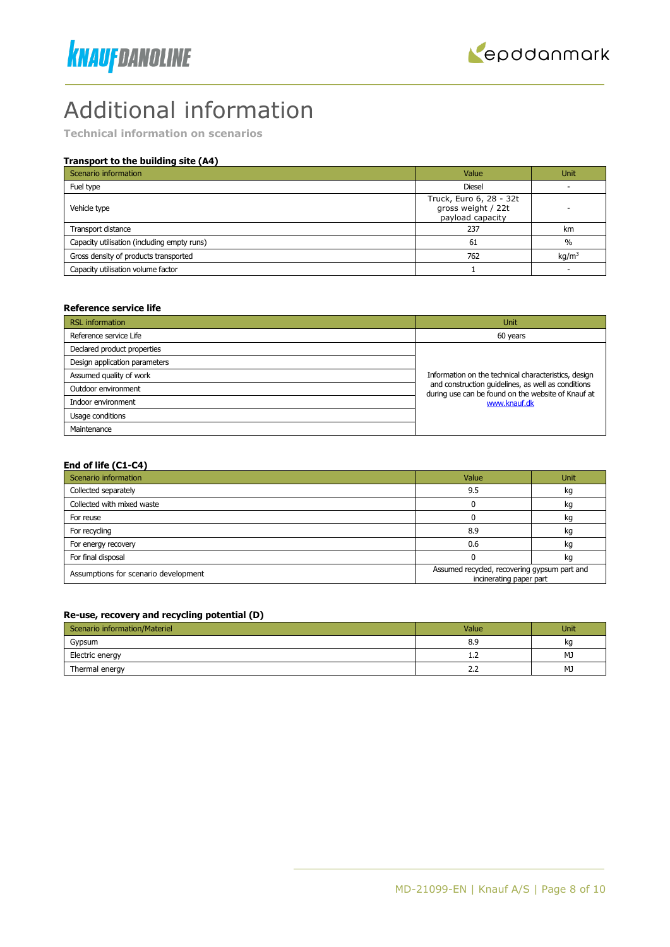



# Additional information

**Technical information on scenarios**

# **Transport to the building site (A4)**

| Scenario information                        | Value                                                             | <b>Unit</b>       |
|---------------------------------------------|-------------------------------------------------------------------|-------------------|
| Fuel type                                   | <b>Diesel</b>                                                     |                   |
| Vehicle type                                | Truck, Euro 6, 28 - 32t<br>gross weight / 22t<br>payload capacity |                   |
| Transport distance                          | 237                                                               | km                |
| Capacity utilisation (including empty runs) | 61                                                                | $\frac{0}{0}$     |
| Gross density of products transported       | 762                                                               | kq/m <sup>3</sup> |
| Capacity utilisation volume factor          |                                                                   |                   |

#### **Reference service life**

| <b>RSL</b> information        | Unit                                                                                                     |  |  |
|-------------------------------|----------------------------------------------------------------------------------------------------------|--|--|
| Reference service Life        | 60 years                                                                                                 |  |  |
| Declared product properties   |                                                                                                          |  |  |
| Design application parameters |                                                                                                          |  |  |
| Assumed quality of work       | Information on the technical characteristics, design                                                     |  |  |
| Outdoor environment           | and construction quidelines, as well as conditions<br>during use can be found on the website of Knauf at |  |  |
| Indoor environment            | www.knauf.dk                                                                                             |  |  |
| Usage conditions              |                                                                                                          |  |  |
| Maintenance                   |                                                                                                          |  |  |

#### **End of life (C1-C4)**

| Scenario information                 | Value                                                                   | <b>Unit</b> |
|--------------------------------------|-------------------------------------------------------------------------|-------------|
| Collected separately                 | 9.5                                                                     | kg          |
| Collected with mixed waste           |                                                                         | kg          |
| For reuse                            |                                                                         | kg          |
| For recycling                        | 8.9                                                                     | kg          |
| For energy recovery                  | 0.6                                                                     | kg          |
| For final disposal                   |                                                                         | kg          |
| Assumptions for scenario development | Assumed recycled, recovering gypsum part and<br>incinerating paper part |             |

#### **Re-use, recovery and recycling potential (D)**

| Scenario information/Materiel | Value         | Unit |
|-------------------------------|---------------|------|
| Gypsum                        | 8.9           | ka   |
| Electric energy               | 1.Z           | MJ   |
| Thermal energy                | $\sim$<br>ے ۔ | MJ   |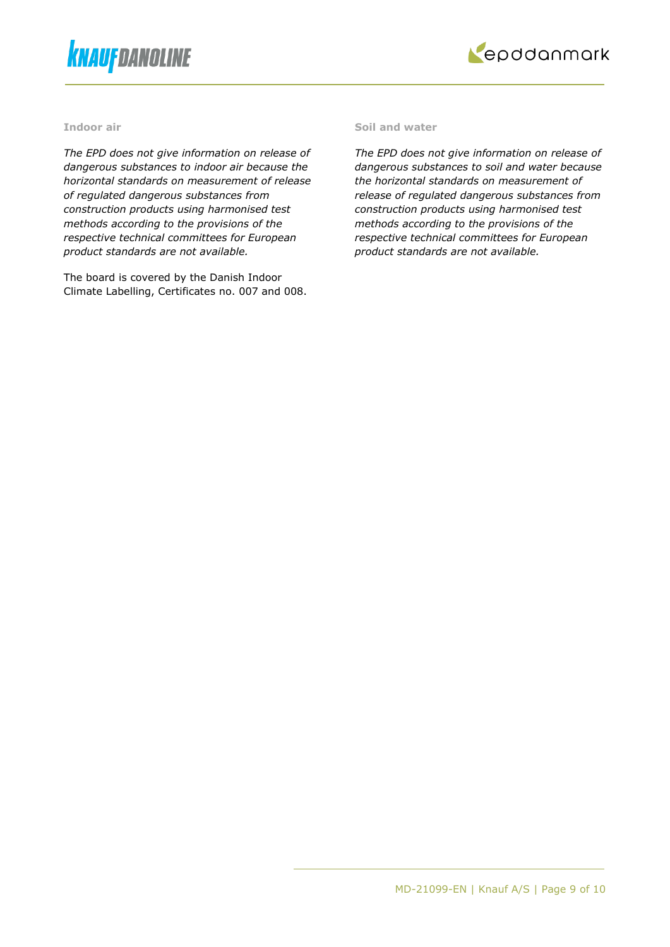



#### **Indoor air**

*The EPD does not give information on release of dangerous substances to indoor air because the horizontal standards on measurement of release of regulated dangerous substances from construction products using harmonised test methods according to the provisions of the respective technical committees for European product standards are not available.*

The board is covered by the Danish Indoor Climate Labelling, Certificates no. 007 and 008.

### **Soil and water**

*The EPD does not give information on release of dangerous substances to soil and water because the horizontal standards on measurement of release of regulated dangerous substances from construction products using harmonised test methods according to the provisions of the respective technical committees for European product standards are not available.*